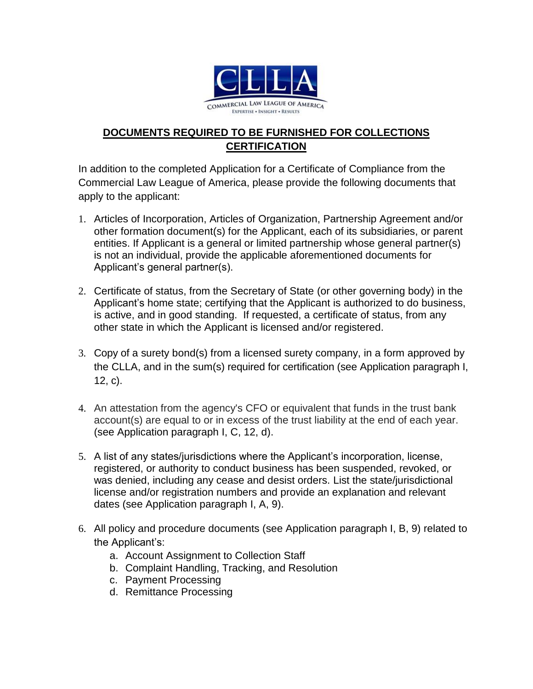

## **DOCUMENTS REQUIRED TO BE FURNISHED FOR COLLECTIONS CERTIFICATION**

In addition to the completed Application for a Certificate of Compliance from the Commercial Law League of America, please provide the following documents that apply to the applicant:

- 1. Articles of Incorporation, Articles of Organization, Partnership Agreement and/or other formation document(s) for the Applicant, each of its subsidiaries, or parent entities. If Applicant is a general or limited partnership whose general partner(s) is not an individual, provide the applicable aforementioned documents for Applicant's general partner(s).
- 2. Certificate of status, from the Secretary of State (or other governing body) in the Applicant's home state; certifying that the Applicant is authorized to do business, is active, and in good standing. If requested, a certificate of status, from any other state in which the Applicant is licensed and/or registered.
- 3. Copy of a surety bond(s) from a licensed surety company, in a form approved by the CLLA, and in the sum(s) required for certification (see Application paragraph I, 12, c).
- 4. An attestation from the agency's CFO or equivalent that funds in the trust bank account(s) are equal to or in excess of the trust liability at the end of each year. (see Application paragraph I, C, 12, d).
- 5. A list of any states/jurisdictions where the Applicant's incorporation, license, registered, or authority to conduct business has been suspended, revoked, or was denied, including any cease and desist orders. List the state/jurisdictional license and/or registration numbers and provide an explanation and relevant dates (see Application paragraph I, A, 9).
- 6. All policy and procedure documents (see Application paragraph I, B, 9) related to the Applicant's:
	- a. Account Assignment to Collection Staff
	- b. Complaint Handling, Tracking, and Resolution
	- c. Payment Processing
	- d. Remittance Processing